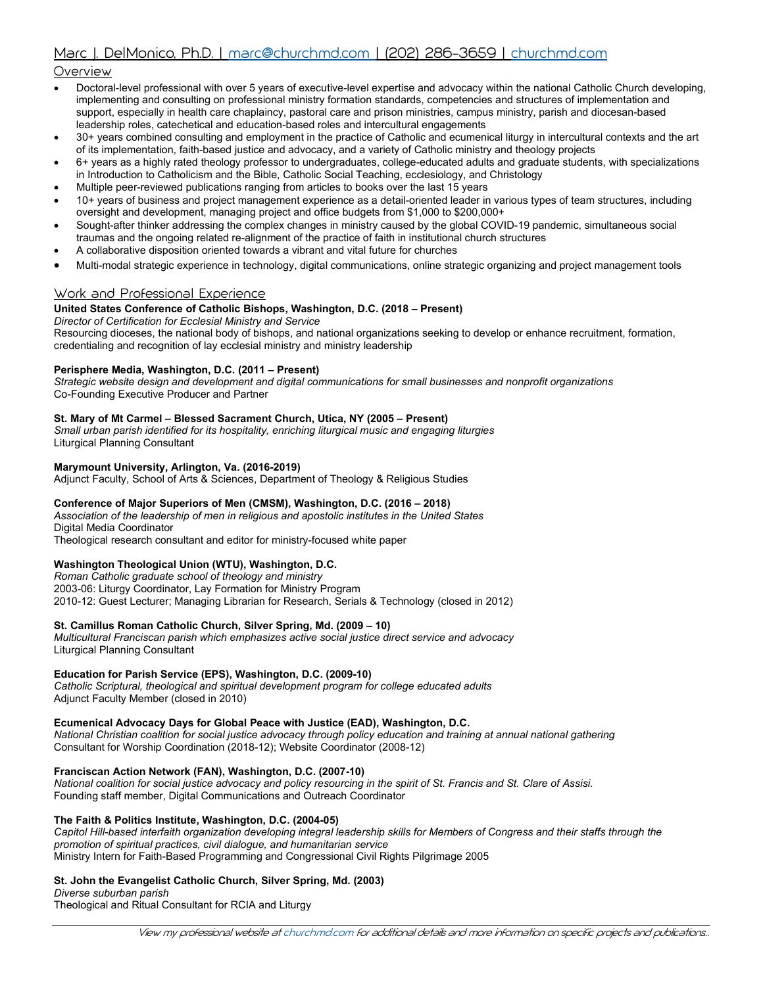# Overview

- Doctoral-level professional with over 5 years of executive-level expertise and advocacy within the national Catholic Church developing, implementing and consulting on professional ministry formation standards, competencies and structures of implementation and support, especially in health care chaplaincy, pastoral care and prison ministries, campus ministry, parish and diocesan-based leadership roles, catechetical and education-based roles and intercultural engagements
- 30+ years combined consulting and employment in the practice of Catholic and ecumenical liturgy in intercultural contexts and the art of its implementation, faith-based justice and advocacy, and a variety of Catholic ministry and theology projects
- 6+ years as a highly rated theology professor to undergraduates, college-educated adults and graduate students, with specializations in Introduction to Catholicism and the Bible, Catholic Social Teaching, ecclesiology, and Christology
- Multiple peer-reviewed publications ranging from articles to books over the last 15 years
- 10+ years of business and project management experience as a detail-oriented leader in various types of team structures, including oversight and development, managing project and office budgets from \$1,000 to \$200,000+
- Sought-after thinker addressing the complex changes in ministry caused by the global COVID-19 pandemic, simultaneous social traumas and the ongoing related re-alignment of the practice of faith in institutional church structures
- A collaborative disposition oriented towards a vibrant and vital future for churches
- Multi-modal strategic experience in technology, digital communications, online strategic organizing and project management tools

# Work and Professional Experience

#### **United States Conference of Catholic Bishops, Washington, D.C. (2018 – Present)**

*Director of Certification for Ecclesial Ministry and Service*

Resourcing dioceses, the national body of bishops, and national organizations seeking to develop or enhance recruitment, formation, credentialing and recognition of lay ecclesial ministry and ministry leadership

#### **Perisphere Media, Washington, D.C. (2011 – Present)**

*Strategic website design and development and digital communications for small businesses and nonprofit organizations* Co-Founding Executive Producer and Partner

#### **St. Mary of Mt Carmel – Blessed Sacrament Church, Utica, NY (2005 – Present)**

*Small urban parish identified for its hospitality, enriching liturgical music and engaging liturgies* Liturgical Planning Consultant

#### **Marymount University, Arlington, Va. (2016-2019)**

Adjunct Faculty, School of Arts & Sciences, Department of Theology & Religious Studies

#### **Conference of Major Superiors of Men (CMSM), Washington, D.C. (2016 – 2018)**

*Association of the leadership of men in religious and apostolic institutes in the United States* Digital Media Coordinator

Theological research consultant and editor for ministry-focused white paper

#### **Washington Theological Union (WTU), Washington, D.C.**

*Roman Catholic graduate school of theology and ministry* 2003-06: Liturgy Coordinator, Lay Formation for Ministry Program 2010-12: Guest Lecturer; Managing Librarian for Research, Serials & Technology (closed in 2012)

#### **St. Camillus Roman Catholic Church, Silver Spring, Md. (2009 – 10)**

*Multicultural Franciscan parish which emphasizes active social justice direct service and advocacy* Liturgical Planning Consultant

### **Education for Parish Service (EPS), Washington, D.C. (2009-10)**

*Catholic Scriptural, theological and spiritual development program for college educated adults* Adjunct Faculty Member (closed in 2010)

#### **Ecumenical Advocacy Days for Global Peace with Justice (EAD), Washington, D.C.**

*National Christian coalition for social justice advocacy through policy education and training at annual national gathering* Consultant for Worship Coordination (2018-12); Website Coordinator (2008-12)

#### **Franciscan Action Network (FAN), Washington, D.C. (2007-10)**

*National coalition for social justice advocacy and policy resourcing in the spirit of St. Francis and St. Clare of Assisi.* Founding staff member, Digital Communications and Outreach Coordinator

#### **The Faith & Politics Institute, Washington, D.C. (2004-05)**

*Capitol Hill-based interfaith organization developing integral leadership skills for Members of Congress and their staffs through the promotion of spiritual practices, civil dialogue, and humanitarian service* Ministry Intern for Faith-Based Programming and Congressional Civil Rights Pilgrimage 2005

#### **St. John the Evangelist Catholic Church, Silver Spring, Md. (2003)**

*Diverse suburban parish* Theological and Ritual Consultant for RCIA and Liturgy